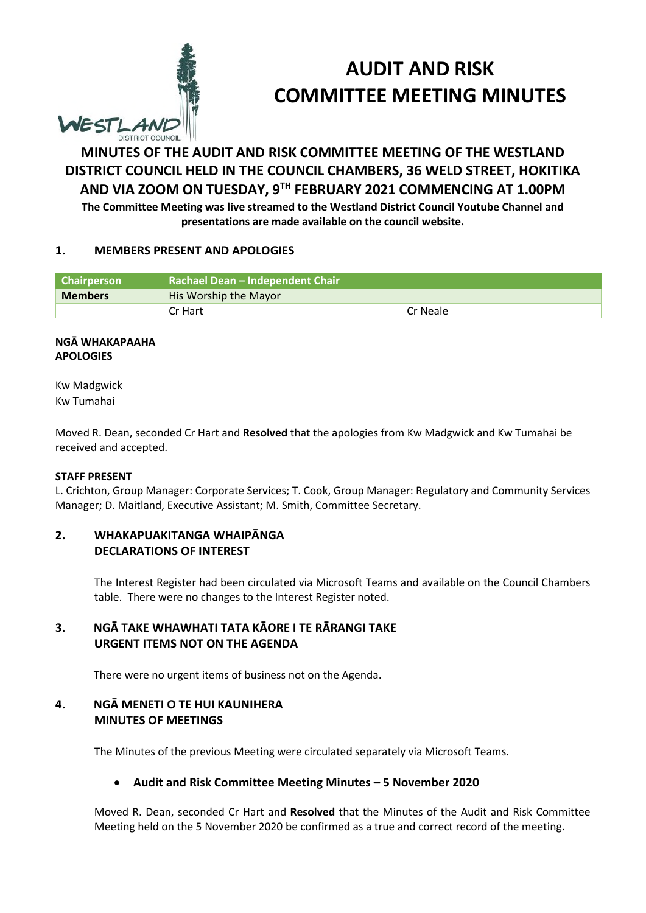

# **AUDIT AND RISK COMMITTEE MEETING MINUTES**

## **MINUTES OF THE AUDIT AND RISK COMMITTEE MEETING OF THE WESTLAND DISTRICT COUNCIL HELD IN THE COUNCIL CHAMBERS, 36 WELD STREET, HOKITIKA AND VIA ZOOM ON TUESDAY, 9TH FEBRUARY 2021 COMMENCING AT 1.00PM**

**The Committee Meeting was live streamed to the Westland District Council Youtube Channel and presentations are made available on the council website.** 

#### **1. MEMBERS PRESENT AND APOLOGIES**

| Chairperson    | Rachael Dean - Independent Chair |          |  |
|----------------|----------------------------------|----------|--|
| <b>Members</b> | His Worship the Mayor            |          |  |
|                | Cr Hart                          | Cr Neale |  |

#### **NGĀ WHAKAPAAHA APOLOGIES**

Kw Madgwick Kw Tumahai

Moved R. Dean, seconded Cr Hart and **Resolved** that the apologies from Kw Madgwick and Kw Tumahai be received and accepted.

#### **STAFF PRESENT**

L. Crichton, Group Manager: Corporate Services; T. Cook, Group Manager: Regulatory and Community Services Manager; D. Maitland, Executive Assistant; M. Smith, Committee Secretary.

#### **2. WHAKAPUAKITANGA WHAIPĀNGA DECLARATIONS OF INTEREST**

The Interest Register had been circulated via Microsoft Teams and available on the Council Chambers table. There were no changes to the Interest Register noted.

#### **3. NGĀ TAKE WHAWHATI TATA KĀORE I TE RĀRANGI TAKE URGENT ITEMS NOT ON THE AGENDA**

There were no urgent items of business not on the Agenda.

#### **4. NGĀ MENETI O TE HUI KAUNIHERA MINUTES OF MEETINGS**

The Minutes of the previous Meeting were circulated separately via Microsoft Teams.

#### **Audit and Risk Committee Meeting Minutes – 5 November 2020**

Moved R. Dean, seconded Cr Hart and **Resolved** that the Minutes of the Audit and Risk Committee Meeting held on the 5 November 2020 be confirmed as a true and correct record of the meeting.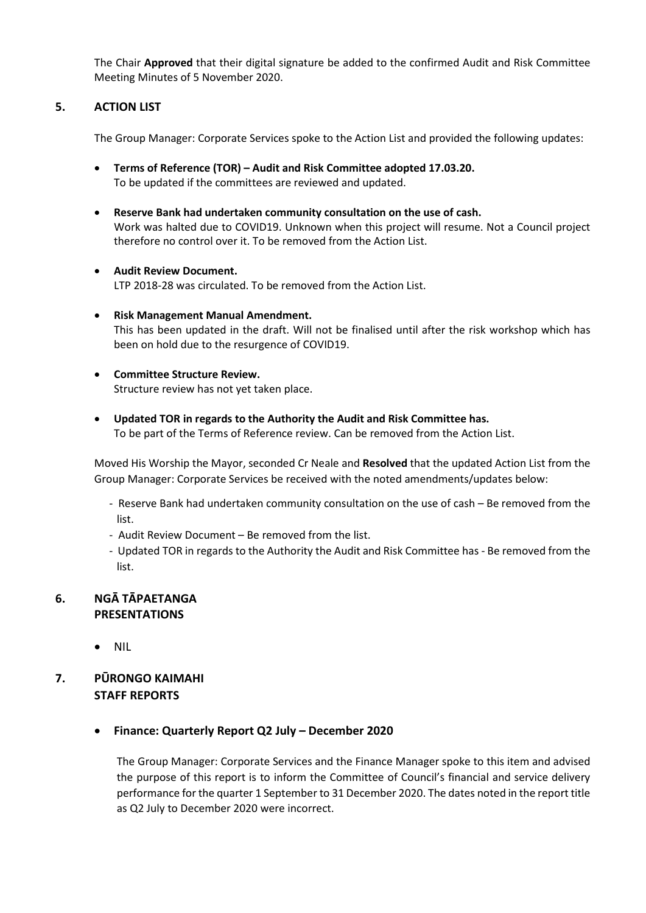The Chair **Approved** that their digital signature be added to the confirmed Audit and Risk Committee Meeting Minutes of 5 November 2020.

#### **5. ACTION LIST**

The Group Manager: Corporate Services spoke to the Action List and provided the following updates:

- **Terms of Reference (TOR) Audit and Risk Committee adopted 17.03.20.**  To be updated if the committees are reviewed and updated.
- **Reserve Bank had undertaken community consultation on the use of cash.**  Work was halted due to COVID19. Unknown when this project will resume. Not a Council project therefore no control over it. To be removed from the Action List.
- **Audit Review Document.**  LTP 2018-28 was circulated. To be removed from the Action List.
- **Risk Management Manual Amendment.**  This has been updated in the draft. Will not be finalised until after the risk workshop which has been on hold due to the resurgence of COVID19.
- **Committee Structure Review.**  Structure review has not yet taken place.
- **Updated TOR in regards to the Authority the Audit and Risk Committee has.**  To be part of the Terms of Reference review. Can be removed from the Action List.

Moved His Worship the Mayor, seconded Cr Neale and **Resolved** that the updated Action List from the Group Manager: Corporate Services be received with the noted amendments/updates below:

- Reserve Bank had undertaken community consultation on the use of cash Be removed from the list.
- Audit Review Document Be removed from the list.
- Updated TOR in regards to the Authority the Audit and Risk Committee has Be removed from the list.

#### **6. NGĀ TĀPAETANGA PRESENTATIONS**

• NIL

### **7. PŪRONGO KAIMAHI STAFF REPORTS**

**Finance: Quarterly Report Q2 July – December 2020**

The Group Manager: Corporate Services and the Finance Manager spoke to this item and advised the purpose of this report is to inform the Committee of Council's financial and service delivery performance for the quarter 1 September to 31 December 2020. The dates noted in the report title as Q2 July to December 2020 were incorrect.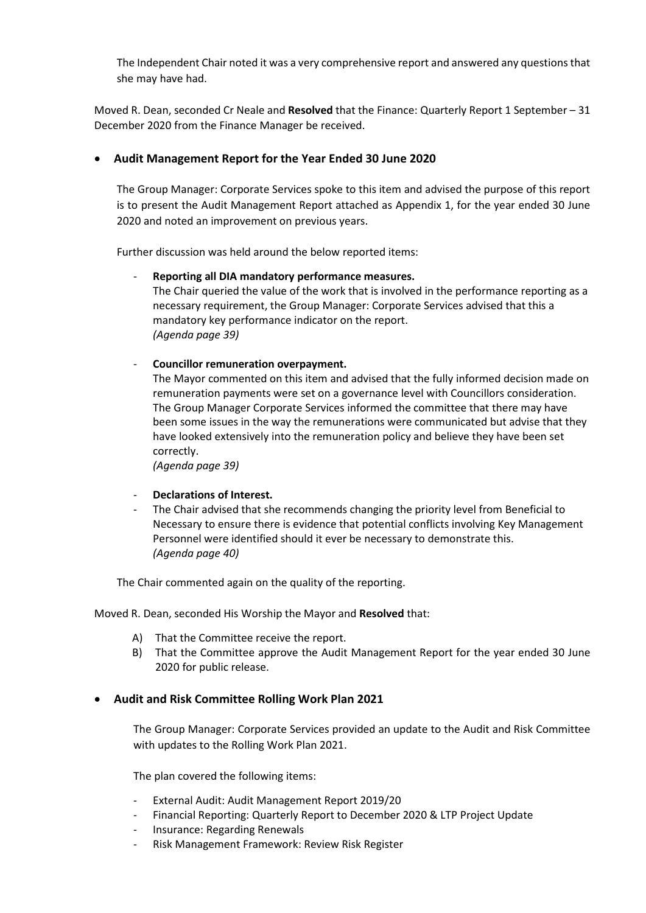The Independent Chair noted it was a very comprehensive report and answered any questions that she may have had.

Moved R. Dean, seconded Cr Neale and **Resolved** that the Finance: Quarterly Report 1 September – 31 December 2020 from the Finance Manager be received.

#### **Audit Management Report for the Year Ended 30 June 2020**

The Group Manager: Corporate Services spoke to this item and advised the purpose of this report is to present the Audit Management Report attached as Appendix 1, for the year ended 30 June 2020 and noted an improvement on previous years.

Further discussion was held around the below reported items:

#### - **Reporting all DIA mandatory performance measures.**

The Chair queried the value of the work that is involved in the performance reporting as a necessary requirement, the Group Manager: Corporate Services advised that this a mandatory key performance indicator on the report. *(Agenda page 39)* 

- **Councillor remuneration overpayment.** 

The Mayor commented on this item and advised that the fully informed decision made on remuneration payments were set on a governance level with Councillors consideration. The Group Manager Corporate Services informed the committee that there may have been some issues in the way the remunerations were communicated but advise that they have looked extensively into the remuneration policy and believe they have been set correctly.

*(Agenda page 39)* 

#### - **Declarations of Interest.**

The Chair advised that she recommends changing the priority level from Beneficial to Necessary to ensure there is evidence that potential conflicts involving Key Management Personnel were identified should it ever be necessary to demonstrate this. *(Agenda page 40)* 

The Chair commented again on the quality of the reporting.

Moved R. Dean, seconded His Worship the Mayor and **Resolved** that:

- A) That the Committee receive the report.
- B) That the Committee approve the Audit Management Report for the year ended 30 June 2020 for public release.

#### **Audit and Risk Committee Rolling Work Plan 2021**

The Group Manager: Corporate Services provided an update to the Audit and Risk Committee with updates to the Rolling Work Plan 2021.

The plan covered the following items:

- External Audit: Audit Management Report 2019/20
- Financial Reporting: Quarterly Report to December 2020 & LTP Project Update
- Insurance: Regarding Renewals
- Risk Management Framework: Review Risk Register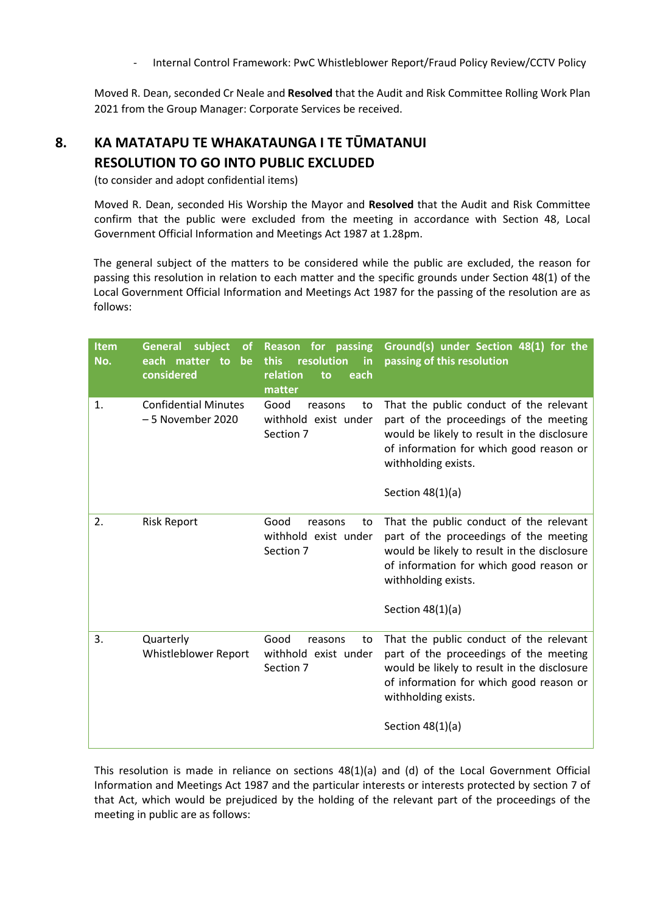- Internal Control Framework: PwC Whistleblower Report/Fraud Policy Review/CCTV Policy

Moved R. Dean, seconded Cr Neale and **Resolved** that the Audit and Risk Committee Rolling Work Plan 2021 from the Group Manager: Corporate Services be received.

## **8. KA MATATAPU TE WHAKATAUNGA I TE TŪMATANUI RESOLUTION TO GO INTO PUBLIC EXCLUDED**

(to consider and adopt confidential items)

 Moved R. Dean, seconded His Worship the Mayor and **Resolved** that the Audit and Risk Committee confirm that the public were excluded from the meeting in accordance with Section 48, Local Government Official Information and Meetings Act 1987 at 1.28pm.

The general subject of the matters to be considered while the public are excluded, the reason for passing this resolution in relation to each matter and the specific grounds under Section 48(1) of the Local Government Official Information and Meetings Act 1987 for the passing of the resolution are as follows:

| <b>Item</b><br>No. | <b>General</b><br>subject<br><b>of</b><br>each matter to<br>be<br>considered | <b>Reason for passing</b><br>resolution<br>this<br>in<br>relation<br>each<br>to<br>matter | Ground(s) under Section 48(1) for the<br>passing of this resolution                                                                                                                                                      |
|--------------------|------------------------------------------------------------------------------|-------------------------------------------------------------------------------------------|--------------------------------------------------------------------------------------------------------------------------------------------------------------------------------------------------------------------------|
| 1.                 | <b>Confidential Minutes</b><br>- 5 November 2020                             | Good<br>reasons<br>to<br>withhold exist under<br>Section 7                                | That the public conduct of the relevant<br>part of the proceedings of the meeting<br>would be likely to result in the disclosure<br>of information for which good reason or<br>withholding exists.<br>Section $48(1)(a)$ |
| 2.                 | <b>Risk Report</b>                                                           | Good<br>reasons<br>to<br>withhold exist under<br>Section 7                                | That the public conduct of the relevant<br>part of the proceedings of the meeting<br>would be likely to result in the disclosure<br>of information for which good reason or<br>withholding exists.<br>Section $48(1)(a)$ |
| 3.                 | Quarterly<br>Whistleblower Report                                            | Good<br>reasons<br>to<br>withhold exist under<br>Section 7                                | That the public conduct of the relevant<br>part of the proceedings of the meeting<br>would be likely to result in the disclosure<br>of information for which good reason or<br>withholding exists.<br>Section $48(1)(a)$ |

This resolution is made in reliance on sections 48(1)(a) and (d) of the Local Government Official Information and Meetings Act 1987 and the particular interests or interests protected by section 7 of that Act, which would be prejudiced by the holding of the relevant part of the proceedings of the meeting in public are as follows: